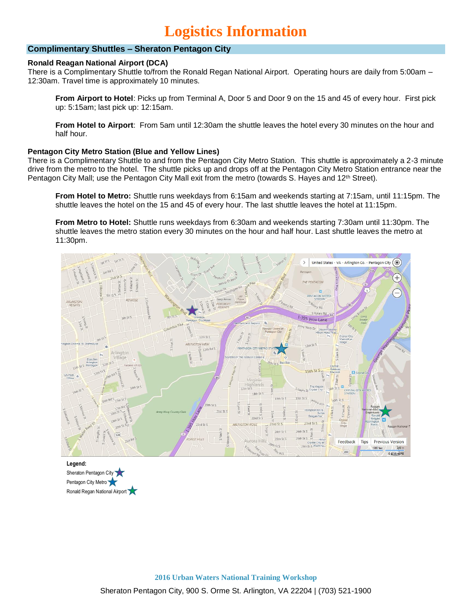# **Logistics Information**

# **Complimentary Shuttles – Sheraton Pentagon City**

## **Ronald Reagan National Airport (DCA)**

There is a Complimentary Shuttle to/from the Ronald Regan National Airport. Operating hours are daily from 5:00am – 12:30am. Travel time is approximately 10 minutes.

**From Airport to Hotel**: Picks up from Terminal A, Door 5 and Door 9 on the 15 and 45 of every hour. First pick up: 5:15am; last pick up: 12:15am.

**From Hotel to Airport**: From 5am until 12:30am the shuttle leaves the hotel every 30 minutes on the hour and half hour.

### **Pentagon City Metro Station (Blue and Yellow Lines)**

There is a Complimentary Shuttle to and from the Pentagon City Metro Station. This shuttle is approximately a 2-3 minute drive from the metro to the hotel. The shuttle picks up and drops off at the Pentagon City Metro Station entrance near the Pentagon City Mall; use the Pentagon City Mall exit from the metro (towards S. Hayes and 12<sup>th</sup> Street).

**From Hotel to Metro:** Shuttle runs weekdays from 6:15am and weekends starting at 7:15am, until 11:15pm. The shuttle leaves the hotel on the 15 and 45 of every hour. The last shuttle leaves the hotel at 11:15pm.

**From Metro to Hotel:** Shuttle runs weekdays from 6:30am and weekends starting 7:30am until 11:30pm. The shuttle leaves the metro station every 30 minutes on the hour and half hour. Last shuttle leaves the metro at 11:30pm.



**Legend:** Sheraton Pentagon City Pentagon City Metro Ronald Regan National Airport